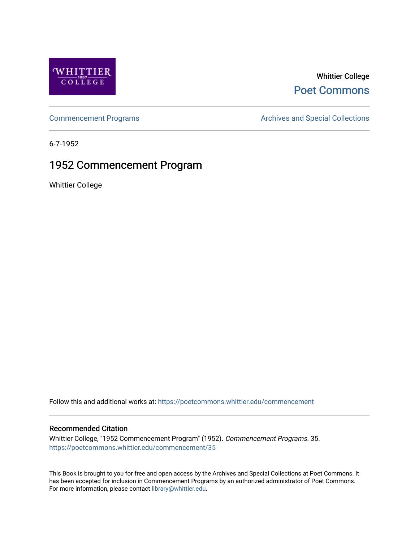

# Whittier College [Poet Commons](https://poetcommons.whittier.edu/)

[Commencement Programs](https://poetcommons.whittier.edu/commencement) **Archives and Special Collections** Archives and Special Collections

6-7-1952

# 1952 Commencement Program

Whittier College

Follow this and additional works at: [https://poetcommons.whittier.edu/commencement](https://poetcommons.whittier.edu/commencement?utm_source=poetcommons.whittier.edu%2Fcommencement%2F35&utm_medium=PDF&utm_campaign=PDFCoverPages) 

# Recommended Citation

Whittier College, "1952 Commencement Program" (1952). Commencement Programs. 35. [https://poetcommons.whittier.edu/commencement/35](https://poetcommons.whittier.edu/commencement/35?utm_source=poetcommons.whittier.edu%2Fcommencement%2F35&utm_medium=PDF&utm_campaign=PDFCoverPages)

This Book is brought to you for free and open access by the Archives and Special Collections at Poet Commons. It has been accepted for inclusion in Commencement Programs by an authorized administrator of Poet Commons. For more information, please contact [library@whittier.edu.](mailto:library@whittier.edu)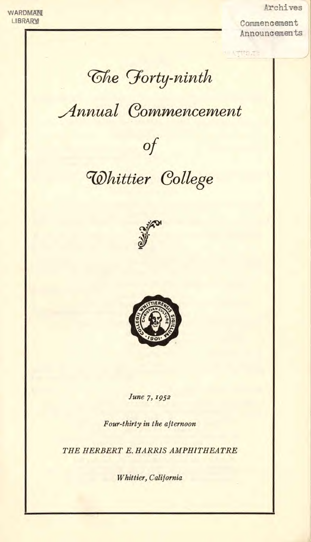Archives

Commencement Announcements

するご

*<u>Ghe Forty-ninth</u>* 

# **Annual Commencement**



# **Whittier College**





June 7, 1952

Four-thirty in the afternoon

THE HERBERT E. HARRIS AMPHITHEATRE

Whittier, California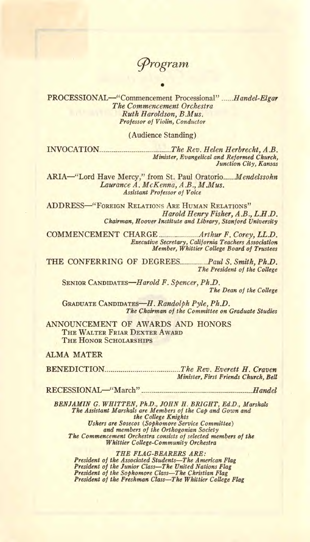Orogram

PROCESSIONAL—"Commencement Processional" ..... Handel-Elgar The Commencement Orchestra Ruth Haroidson, B.Mus. Professor of Violin, Conductor

(Audience Standing)

INVOCATION The Rev. Helen Herbrecht, A.B. Minister, Evangelical and Reformed Church, Junction City, Kansas

ARIA—"Lord Have Mercy," from St. Paul Oratorio......*Mendelssohn* Laurance A. McKenna, A .B., M.Mus. Assistant Professor of Voice

ADDRESS-"FOREIGN RELATIONS ARE HUMAN RELATIONS" Harold Henry Fisher, A .B., L.H.D. Chairman, Hoover Institute and Library, Stanford University

COMMENCEMENT CHARGE \_\_\_\_\_\_\_\_\_\_\_\_\_\_Arthur F. Corey, LL.D.<br>Executive Secretary, California Teachers Association<br>Member, Whittier College Board of Trustees

THE CONFERRING OF DEGREES............ Paul S. Smith, Ph.D. The President of the College

SENIOR CANDIDATES-Harold F. Spencer, Ph.D. The Dean of the College

GRADUATE CANDIDATES—H. Randolph Pyle, Ph.D. The Chairman of the Committee on Graduate Studies

ANNOUNCEMENT OF AWARDS AND HONORS THE WALTER FRIAR DEXTER AWARD THE HONOR SCHOLARSHIPS

## ALMA MATER

BENEDICTION The Rev. Everett H. Craven Minister, First Friends Church, Bell

RECESSIONAL—"March" **March"** Handel

BENJAMIN G. WHITTEN, Ph.D., JOHN H. BRIGHT, Ed.D., Marshals The Assistant Marshals are Members of the Cap and Gown and the College Knights Ushers are Sosecos (Sophomore Service Committee) and members of the Orthogonian Society The Commencement Orchestra consists of selected members of the Whittier College-Community Orchestra

THE FLAG-BEARERS ARE:

President of the Associated Students—I he American Flag<br>President of the Junior Class—The United Nations Flag<br>President of the Sophomore Class—The Christian Flag

President of the Freshman Class—I he Whittier College Flag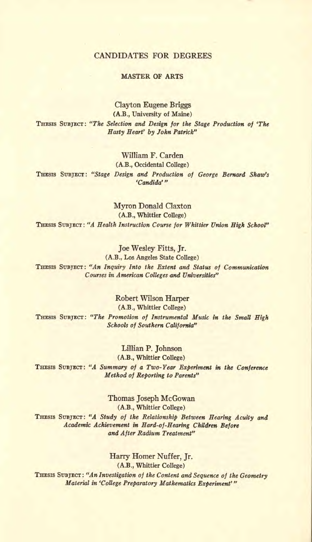#### **MASTER OF ARTS**

Clayton Eugene Briggs (A.B., University of Maine) THESIS SUBJECT: "The Selection and Design for the Stage Production of 'The Hasty Heart' by John Patrick"

William F. Carden (A.B., Occidental College) THESIS SUBJECT: "Stage Design and Production of George Bernard Shaw's 'Candida'"

Myron Donald Claxton (A.B., Whittier College) THESIS SUBJECT: "A Health Instruction Course for Whittier Union High School"

Joe Wesley Fitts, Jr. (A.B., Los Angeles State College) THESIS SUBJECT: "An Inquiry Into the Extent and Status of Communication Courses in American Colleges and Universities"

Robert Wilson Harper (A.B., Whittier College) THESIS SUBJECT: "The Promotion of Instrumental Music in the Small High Schools of Southern California"

Lillian P. Johnson (A.B., Whittier College) THEsIs SUBJECT: "A Summary of a Two-Year Experiment **in** the Conference Method of Reporting to Parents"

> Thomas Joseph McGowan (A.B., Whittier College)

THESIS SUBJECT: "A Study of the Relationship Between Hearing Acuity and Academic Achievement in Hard-of-Hearing Children Before and After Radium Treatment"

Harry Homer Nuffer, Jr. (A.B., Whittier College) THESIS SUBJECT: "An Investigation of the Content and Sequence of the Geometry Material in 'College Preparatory Mathematics Experiment'"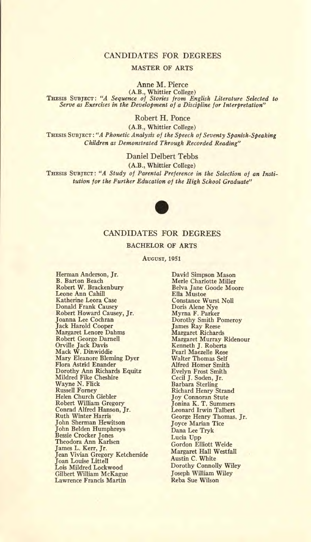### MASTER OF ARTS

Anne M. Pierce

(A.B., Whittier College)<br>THESIS SUBJECT: "A Sequence of Stories from English Literature Selected to Serve as Exercises in the Development of a Discipline for Interpretation"

Robert H. Ponce

(A.B., Whittier College) THESIS SUBJECT: "A Phonetic Analysis of the Speech of Seventy Spanish-Speaking Children as Demonstrated Through Recorded Reading"

Daniel Delbert Tebbs

(A.B., Whittier College)

THESIS SUBJECT: "A Study of Parental Preference in the Selection of an Institution for the Further Education of the High School Graduate"



### CANDIDATES FOR DEGREES

#### BACHELOR OF ARTS

AUGUST, 1951

Herman Anderson, Jr. B. Barton Beach Robert W. Brackenbury Leone Ann Cahill Katherine Leora Case Donald Frank Causey Robert Howard Causey, Jr. Joanna Lee Cochran Jack Harold Cooper Margaret Lenore Dahms Robert George Darnell Orville Jack Davis Mack W. Dinwiddie Mary Eleanore Bleming Dyer Flora Astrid Enander Dorothy Ann Richards Equitz Mildred Fike Cheshire Wayne N. Flick Russell Forney Helen Church Giebler Robert William Gregory Conrad Alfred Hanson, Jr. Ruth Winter Harris John Sherman Hewitson John Belden Humphreys Bessie Crocker Jones Theodora Ann Karlsen James L. Kerr, Jr. Jean Vivian Gregory Ketcherside Joan Louise Littell Lois Mildred Lockwood Gilbert William McKague Lawrence Francis Martin

David Simpson Mason Merle Charlotte Miller Belva Jane Goode Moore Ella Mustoe Constance Wurst Noll Doris Alene Nye Myrna F. Parker Dorothy Smith Pomeroy James Ray Reese Margaret Richards<br>Margaret Murray Ridenour Kenneth J. Roberts Pearl Maezelle Rose Walter Thomas Self Alfred Homer Smith Evelyn Frost Smith Cecil J. Soden, Jr. Barbara Sterling Richard Henry Strand Joy Connoran Stute Jonina K. T. Summers Leonard Irwin Talbert George Henry Thomas. Jr. Joyce Marian Tice Dana Lee Tryk Lucia Upp Gordon Elliott Weide Margaret Hall Westfall Austin C. White Dorothy Connolly Wiley Joseph William Wiley Reba Sue Wilson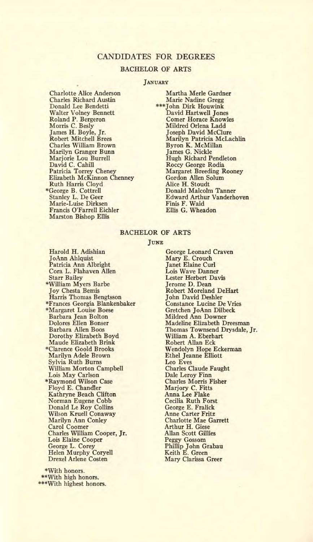# BACHELOR OF ARTS

#### **JANUARY**

Charlotte Alice Anderson Martha Merle Gardner Charles Richard Austin<br>Donald Lee Bendetti Walter Volney Bennett<br>
Roland P. Bergeron **Corner Horace Knowles** Morris C. Besly Mildred Orlena Ladd<br>James H. Boyle, Jr. Mildred Orlena Ladd Joseph David McClure Charles William Brown Byron K. McMillan Marilyn Granger Bunn James G. Nickle Elizabeth McKinnon Chenney<br>Ruth Harris Cloyd Ruth Harris Cloyd Alice H. Stoudt \*George B. Cottrell Donald Malcolm Tanner Francis O'Farrell Eichler Marston Bishop Ellis

\*\*\*John Dirk Houwink Robert Mitchell Brees Marilyn Patricia McLachlin<br>
Charles William Brown Byron K. McMillan Marjorie Lou Burrell **Hugh Richard Pendleton**<br>
David C. Cahill **Roccy George Rodia**<br>
Patricia Torrey Cheney Margaret Breeding Rooney Stanley L. De Geer<br>
Marie-Luise Dirksen<br>
Finis F. Waid Finis F. Waid<br>Ellis G. Wheadon

### BACHELOR OF ARTS

#### **JUNE**

Harold H. Adishian JoAnn Ahlquist Patricia Ann Albright Cora L. Flahaven Allen Starr Bailey \*William Myers Barbe Joy Chesta Bemis Harris Thomas Bengtsson \*Frances Georgia Blankenbaker \*Margaret Louise Boese Barbara Jean Bolton Dolores Ellen Bonser Barbara Allen Boos Dorothy Elizabeth Boyd Maude Elizabeth Brink \*Clarence Goold Brooks Marilyn Adele Brown Sylvia Ruth Burns William Morton Campbell Lois May Carlson \*Raymond Wilson Case Floyd E. Chandler Kathryne Beach Clifton Norman Eugene Cobb Donald Le Roy Collins Wilson Kruell Conaway Marilyn Ann Conley Carol Coomer Charles William Cooper, Jr. Lois Elaine Cooper George L. Corey Helen Murphy Coryell Drexel Arlene Costen

\*With honors. \*\*With high honors. \*\*\*With highest honors.

George Leonard Craven Mary E. Crouch Janet Elaine Curl Lois Wave Danner Lester Herbert Davis Jerome D. Dean Robert Moreland DeHart John David Deshler Constance Lucine De Vries Gretchen JoAnn Dilbeck Mildred Ann Downer Madeline Elizabeth Dreesman Thomas Townsend Drysdale, Jr. William A. Eberhart Robert Allan Eck Wendolyn Hope Eckerman Ethel Jeanne Elliott Leo Eves Charles Claude Faught Dale Leroy Finn Charles Morris Fisher Marjory C. Fitts Anna Lee Flake Cecilia Ruth Forst George E. Fralick Anne Carter Fritz Charlotte Mae Garrett Arthur H. Giese Allan Scott Gillies Peggy Gossom Phillip John Grabau Keith E. Green Mary Clarissa Greer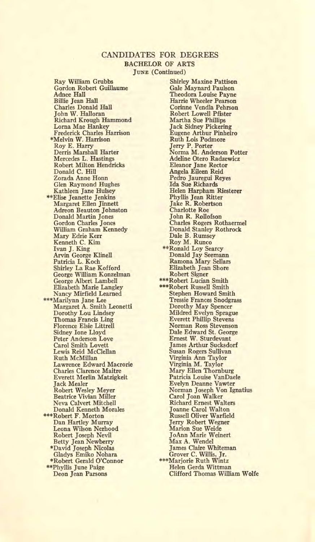### CANDIDATES FOR DEGREES BACHELOR OF ARTS JUNE (Continued)

Ray William Grubbs Gordon Robert Guillaume Adnee Hall Billie Jean Hall Charles Donald Hall John W. Halloran Richard Krough Hammond Lorna Mae Hankey Frederick Charles Harrison \*Melvin W. Harrison Roy E. Harry Derris Marshall Harter Mercedes L. Hastings Robert Milton Hendricks Donald C. Hill Zorada Anne Honn Glen Raymond Hughes Kathleen Jane Hulsey \*\*Elise Jeanette Jenkins Margaret Ellen Jinnett Adreon Beauton Johnston Donald Martin Jones Gordon Charles Jones William Graham Kennedy Mary Edrie Kerr Kenneth C. Kim Ivan J. King Arvin George Klinell Patricia L. Koch Shirley La Rae Kofford George William Konzelman George Albert Lambell Elizabeth Marie Langley Nancy Mirfield Learned \*\*\*Marilynn Jane Lee Margaret A. Smith Leonetti Dorothy Lou Lindsey Thomas Francis Ling Florence Elsie Littrell Sidney lone Lloyd Peter Anderson Love Carol Smith Lovett Lewis Reid McClellan Ruth McMillan Lawrence Edward Macrorie Charles Clarence Maitre Everett Merlin Matzigkeit **Jack Mealer** Robert Wesley Meyer Beatrice Vivian Miller Neva Calvert Mitchell Donald Kenneth Morales \*\*\*Robert F. Morton Dan Hartley Murray Leona Wilson Nerhood Robert Joseph Nevil Betty Jean Newberry \*David Joseph Nicolas Gladys Emiko Nohara Robert Gerald O'Connor \*\*Phyllis June Paige Deon Jean Parsons

Shirley Maxine Pattison Gale Maynard Paulson Theodora Louise Payne Harrie Wheeler Pearson Corinne Vendla Pehrson Robert Lowell Pfister Martha Sue Phillips Jack Sidney Pickering Eugene Arthur Pinheiro Ruth Lois Podmore Jerry P. Porter Norma M. Anderson Potter Adeline Otero Radzewicz Eleanor Jane Rector Angela Eileen Reid Pedro Jauregui Reyes Ida Sue Richards Helen Harpham Riesterer Phyllis Jean Ritter Jake R. Robertson Charlotte Roe John R. Rollofson Charles Rogers Rothaermel Donald Stanley Rothrock Dale B. Rumsey Roy M. Runco \*\*Ronald Loy Searcy Donald Jay Seemann Ramona Mary Sellars Elizabeth Jean Shore Robert Signer \*\*\*Robert Lucian Smith \*\*\*Robert Russell Smith Stephen Howard Smith Tressie Frances Snodgrass Dorothy May Spencer Mildred Evelyn Sprague Everett Phillip Stevens Norman Ross Stevenson Dale Edward St. George Ernest W. Sturdevant James Arthur Sucksdorf Susan Rogers Sullivan Virginia Ann Taylor Virginia M. Taylor Mary Ellen Thornburg Patricia Louise VanDaele Evelyn Deanne Vawter Norman Joseph Von Ignatius Carol Joan Walker Richard Ernest Walters Joanne Carol Walton Russell Oliver Warfield Jerry Robert Wegner Marion Sue Weide JoAnn Marie Weinert Max A. Wendel James Claire Whiteman Grover C. Willis, Jr. \*\*\*Marjorie Ruth Wintz Helen Gerda Wittman Clifford Thomas William Wolfe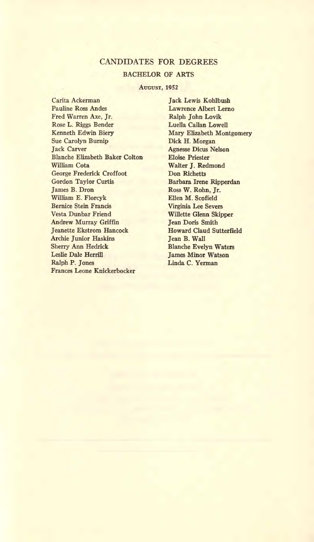#### BACHELOR OF ARTS

#### AUGUST, 1952

Carita Ackerman Pauline Ross Andes Fred Warren Axe, Jr. Rose L. Riggs Bender Kenneth Edwin Biery Sue Carolyn Burnip Jack Carver Blanche Elizabeth Baker Colton William Cota George Frederick Croffoot Gordon Taylor Curtis James B. Dron William E. Florcyk Bernice Stein Francis Vesta Dunbar Friend Andrew Murray Griffin Jeanette Ekstrom Hancock Archie Junior Haskins Sherry Ann Hedrick Leslie Dale Herrill Ralph P. Jones Frances Leone Knickerbocker

Jack Lewis Kohlbush Lawrence Albert Lerno Ralph John Lovik Luella Callan Lowell Mary Elizabeth Montgomery Dick H. Morgan Agnesse Dicus Nelson Eloise Priester Walter J. Redmond Don Richetts Barbara Irene Ripperdan Ross W. Rohn, Jr. Ellen M. Scofield Virginia Lee Severs Wifiette Glenn Skipper Jean Doris Smith Howard Claud Sutterfield Jean B. Wall Blanche Evelyn Waters James Minor Watson Linda C. Yerman